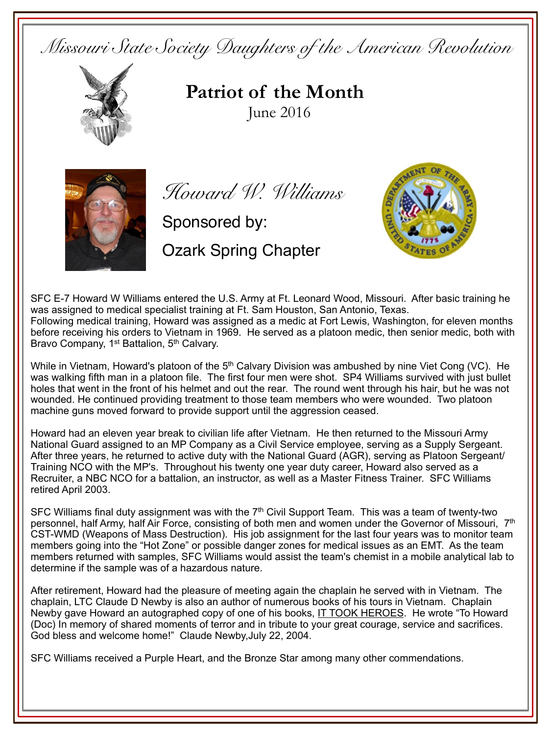*Missouri State Society Daughters of the American Revolution*



**Patriot of the Month**June 2016



*Howard W. Williams*

Sponsored by:

Ozark Spring Chapter



SFC E-7 Howard W Williams entered the U.S. Army at Ft. Leonard Wood, Missouri. After basic training he was assigned to medical specialist training at Ft. Sam Houston, San Antonio, Texas. Following medical training, Howard was assigned as a medic at Fort Lewis, Washington, for eleven months before receiving his orders to Vietnam in 1969. He served as a platoon medic, then senior medic, both with Bravo Company, 1<sup>st</sup> Battalion, 5<sup>th</sup> Calvarv.

While in Vietnam, Howard's platoon of the  $5<sup>th</sup>$  Calvary Division was ambushed by nine Viet Cong (VC). He was walking fifth man in a platoon file. The first four men were shot. SP4 Williams survived with just bullet holes that went in the front of his helmet and out the rear. The round went through his hair, but he was not wounded. He continued providing treatment to those team members who were wounded. Two platoon machine guns moved forward to provide support until the aggression ceased.

Howard had an eleven year break to civilian life after Vietnam. He then returned to the Missouri Army National Guard assigned to an MP Company as a Civil Service employee, serving as a Supply Sergeant. After three years, he returned to active duty with the National Guard (AGR), serving as Platoon Sergeant/ Training NCO with the MP's. Throughout his twenty one year duty career, Howard also served as a Recruiter, a NBC NCO for a battalion, an instructor, as well as a Master Fitness Trainer. SFC Williams retired April 2003.

SFC Williams final duty assignment was with the  $7<sup>th</sup>$  Civil Support Team. This was a team of twenty-two personnel, half Army, half Air Force, consisting of both men and women under the Governor of Missouri, 7<sup>th</sup> CST-WMD (Weapons of Mass Destruction). His job assignment for the last four years was to monitor team members going into the "Hot Zone" or possible danger zones for medical issues as an EMT. As the team members returned with samples, SFC Williams would assist the team's chemist in a mobile analytical lab to determine if the sample was of a hazardous nature.

After retirement, Howard had the pleasure of meeting again the chaplain he served with in Vietnam. The chaplain, LTC Claude D Newby is also an author of numerous books of his tours in Vietnam. Chaplain Newby gave Howard an autographed copy of one of his books, IT TOOK HEROES. He wrote "To Howard (Doc) In memory of shared moments of terror and in tribute to your great courage, service and sacrifices. God bless and welcome home!" Claude Newby,July 22, 2004.

SFC Williams received a Purple Heart, and the Bronze Star among many other commendations.